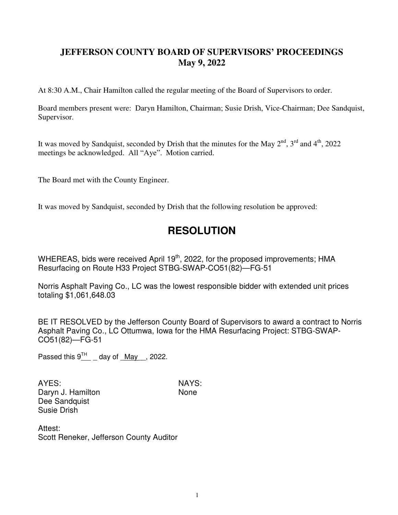## **JEFFERSON COUNTY BOARD OF SUPERVISORS' PROCEEDINGS May 9, 2022**

At 8:30 A.M., Chair Hamilton called the regular meeting of the Board of Supervisors to order.

Board members present were: Daryn Hamilton, Chairman; Susie Drish, Vice-Chairman; Dee Sandquist, Supervisor.

It was moved by Sandquist, seconded by Drish that the minutes for the May  $2^{nd}$ ,  $3^{rd}$  and  $4^{th}$ , 2022 meetings be acknowledged. All "Aye". Motion carried.

The Board met with the County Engineer.

It was moved by Sandquist, seconded by Drish that the following resolution be approved:

## **RESOLUTION**

WHEREAS, bids were received April  $19<sup>th</sup>$ , 2022, for the proposed improvements; HMA Resurfacing on Route H33 Project STBG-SWAP-CO51(82)—FG-51

Norris Asphalt Paving Co., LC was the lowest responsible bidder with extended unit prices totaling \$1,061,648.03

BE IT RESOLVED by the Jefferson County Board of Supervisors to award a contract to Norris Asphalt Paving Co., LC Ottumwa, Iowa for the HMA Resurfacing Project: STBG-SWAP-CO51(82)—FG-51

Passed this  $9^{\text{TH}}$  \_ day of \_May\_, 2022.

AYES: NAYS: Daryn J. Hamilton None Dee Sandquist Susie Drish

Attest: Scott Reneker, Jefferson County Auditor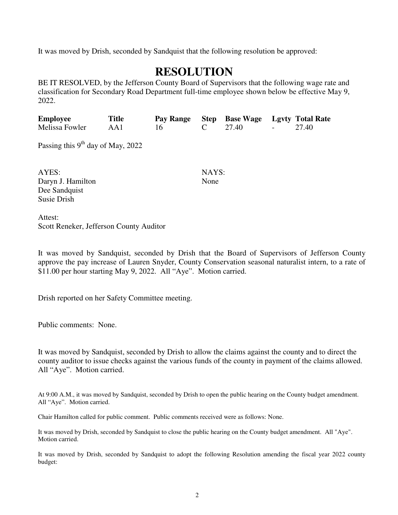It was moved by Drish, seconded by Sandquist that the following resolution be approved:

## **RESOLUTION**

BE IT RESOLVED, by the Jefferson County Board of Supervisors that the following wage rate and classification for Secondary Road Department full-time employee shown below be effective May 9, 2022.

| <b>Employee</b>                     | <b>Title</b> | Pay Range | <b>Step</b> | <b>Base Wage</b> |  | <b>Lgvty Total Rate</b> |
|-------------------------------------|--------------|-----------|-------------|------------------|--|-------------------------|
| Melissa Fowler                      | AA1          | 16        | C           | 27.40            |  | 27.40                   |
| Passing this $9th$ day of May, 2022 |              |           |             |                  |  |                         |
| AYES:                               |              |           | NAYS:       |                  |  |                         |
| Daryn J. Hamilton                   |              |           | None        |                  |  |                         |
| Dee Sandquist                       |              |           |             |                  |  |                         |
| Susie Drish                         |              |           |             |                  |  |                         |
| $A + \alpha A$                      |              |           |             |                  |  |                         |

Attest: Scott Reneker, Jefferson County Auditor

It was moved by Sandquist, seconded by Drish that the Board of Supervisors of Jefferson County approve the pay increase of Lauren Snyder, County Conservation seasonal naturalist intern, to a rate of \$11.00 per hour starting May 9, 2022. All "Aye". Motion carried.

Drish reported on her Safety Committee meeting.

Public comments: None.

It was moved by Sandquist, seconded by Drish to allow the claims against the county and to direct the county auditor to issue checks against the various funds of the county in payment of the claims allowed. All "Aye". Motion carried.

At 9:00 A.M., it was moved by Sandquist, seconded by Drish to open the public hearing on the County budget amendment. All "Aye". Motion carried.

Chair Hamilton called for public comment. Public comments received were as follows: None.

It was moved by Drish, seconded by Sandquist to close the public hearing on the County budget amendment. All "Aye". Motion carried.

It was moved by Drish, seconded by Sandquist to adopt the following Resolution amending the fiscal year 2022 county budget: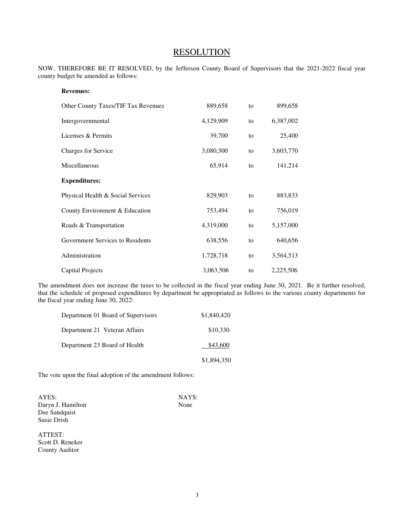## **RESOLUTION**

NOW, THEREFORE BE IT RESOLVED, by the Jefferson County Board of Supervisors that the 2021-2022 fiscal year county budget be amended as follows:

| <b>Revenues:</b>                    |           |    |           |
|-------------------------------------|-----------|----|-----------|
| Other County Taxes/TIF Tax Revenues | 889,658   | to | 899,658   |
| Intergovernmental                   | 4,129,909 | to | 6,387,002 |
| Licenses & Permits                  | 39,700    | to | 25,400    |
| Charges for Service                 | 3,080,300 | to | 3,603,770 |
| Miscellaneous                       | 65,914    | to | 141,214   |
| <b>Expenditures:</b>                |           |    |           |
| Physical Health & Social Services   | 829,903   | to | 883,833   |
| County Environment & Education      | 753,494   | to | 756,019   |
| Roads & Transportation              | 4,319,000 | to | 5,157,000 |
| Government Services to Residents    | 638,556   | to | 640,656   |
| Administration                      | 1,728,718 | to | 3,564,513 |
| Capital Projects                    | 3,063,506 | to | 2,225,506 |

The amendment does not increase the taxes to be collected in the fiscal year ending June 30, 2021. Be it further resolved, that the schedule of proposed expenditures by department be appropriated as follows to the various county departments for the fiscal year ending June 30, 2022:

| Department 01 Board of Supervisors | \$1,840,420 |
|------------------------------------|-------------|
| Department 21 Veteran Affairs      | \$10,330    |
| Department 23 Board of Health      | \$43,600    |
|                                    | \$1,894,350 |

The vote upon the final adoption of the amendment follows:

AYES: NAYS: Daryn J. Hamilton None Dee Sandquist Susie Drish

ATTEST: Scott D. Reneker County Auditor